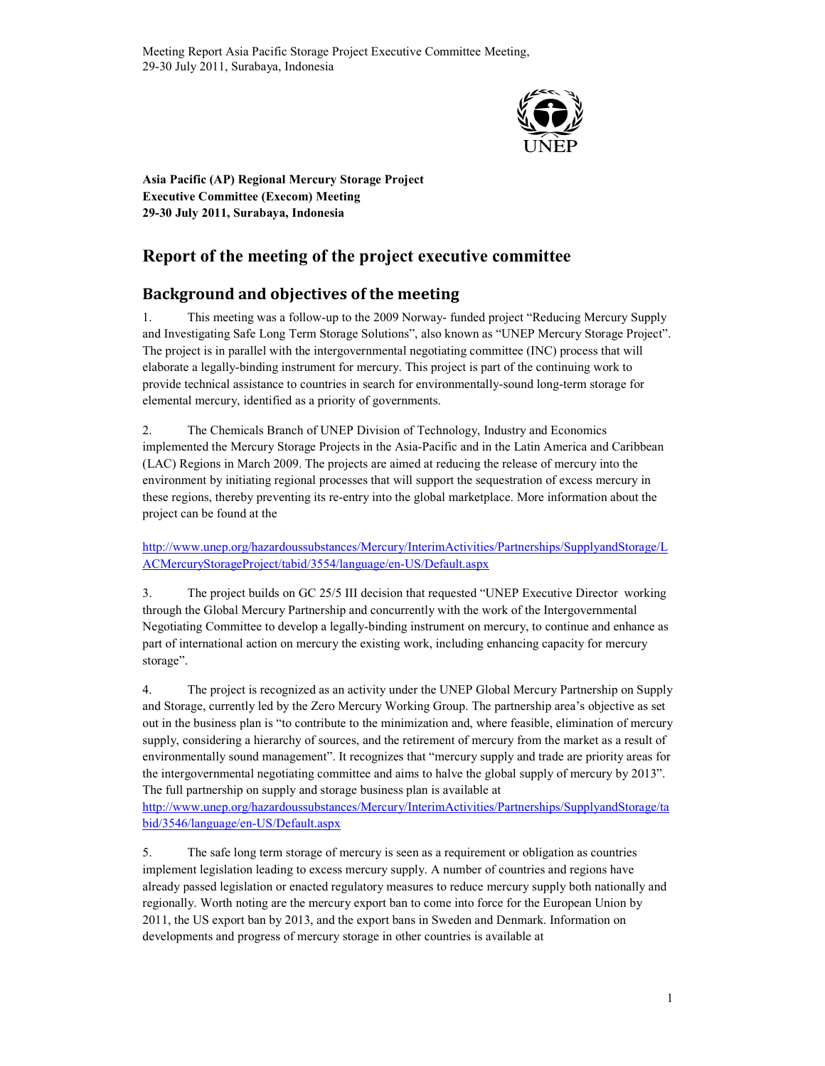

Asia Pacific (AP) Regional Mercury Storage Project Executive Committee (Execom) Meeting 29-30 July 2011, Surabaya, Indonesia

# Report of the meeting of the project executive committee

# Background and objectives of the meeting

1. This meeting was a follow-up to the 2009 Norway- funded project "Reducing Mercury Supply and Investigating Safe Long Term Storage Solutions", also known as "UNEP Mercury Storage Project". The project is in parallel with the intergovernmental negotiating committee (INC) process that will elaborate a legally-binding instrument for mercury. This project is part of the continuing work to provide technical assistance to countries in search for environmentally-sound long-term storage for elemental mercury, identified as a priority of governments.

2. The Chemicals Branch of UNEP Division of Technology, Industry and Economics implemented the Mercury Storage Projects in the Asia-Pacific and in the Latin America and Caribbean (LAC) Regions in March 2009. The projects are aimed at reducing the release of mercury into the environment by initiating regional processes that will support the sequestration of excess mercury in these regions, thereby preventing its re-entry into the global marketplace. More information about the project can be found at the

http://www.unep.org/hazardoussubstances/Mercury/InterimActivities/Partnerships/SupplyandStorage/L ACMercuryStorageProject/tabid/3554/language/en-US/Default.aspx

3. The project builds on GC 25/5 III decision that requested "UNEP Executive Director working through the Global Mercury Partnership and concurrently with the work of the Intergovernmental Negotiating Committee to develop a legally-binding instrument on mercury, to continue and enhance as part of international action on mercury the existing work, including enhancing capacity for mercury storage".

4. The project is recognized as an activity under the UNEP Global Mercury Partnership on Supply and Storage, currently led by the Zero Mercury Working Group. The partnership area's objective as set out in the business plan is "to contribute to the minimization and, where feasible, elimination of mercury supply, considering a hierarchy of sources, and the retirement of mercury from the market as a result of environmentally sound management". It recognizes that "mercury supply and trade are priority areas for the intergovernmental negotiating committee and aims to halve the global supply of mercury by 2013". The full partnership on supply and storage business plan is available at

http://www.unep.org/hazardoussubstances/Mercury/InterimActivities/Partnerships/SupplyandStorage/ta bid/3546/language/en-US/Default.aspx

5. The safe long term storage of mercury is seen as a requirement or obligation as countries implement legislation leading to excess mercury supply. A number of countries and regions have already passed legislation or enacted regulatory measures to reduce mercury supply both nationally and regionally. Worth noting are the mercury export ban to come into force for the European Union by 2011, the US export ban by 2013, and the export bans in Sweden and Denmark. Information on developments and progress of mercury storage in other countries is available at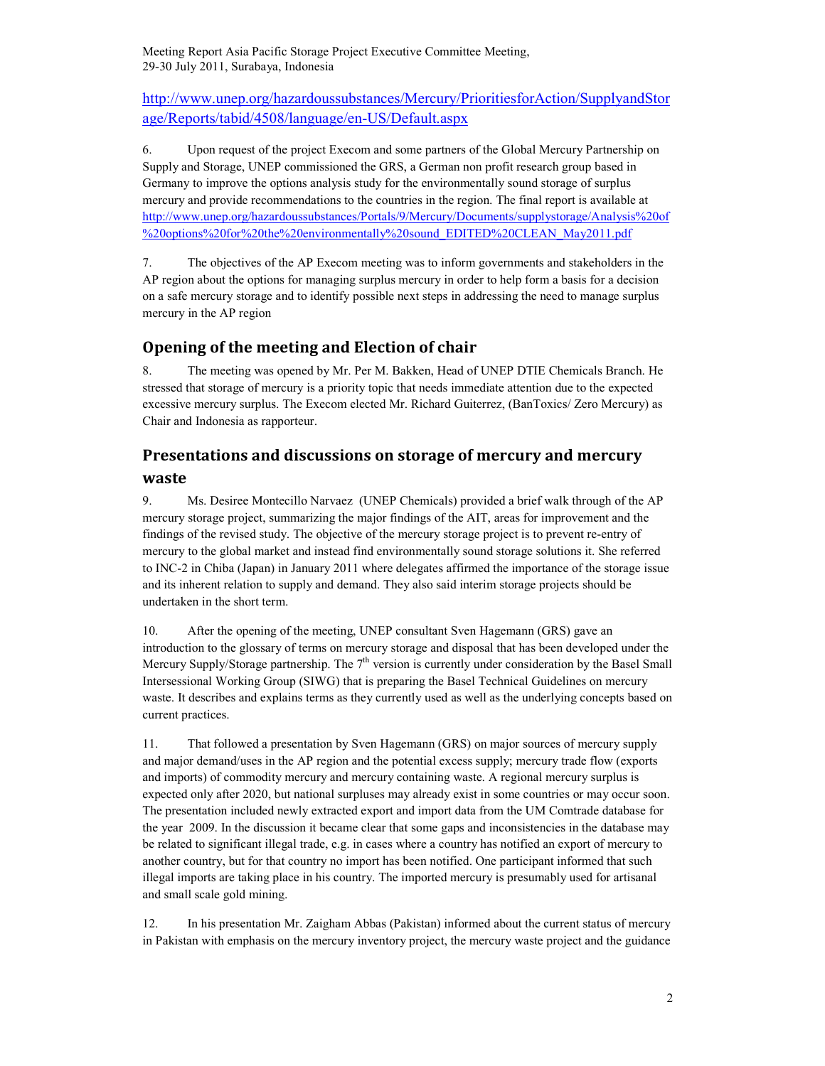http://www.unep.org/hazardoussubstances/Mercury/PrioritiesforAction/SupplyandStor age/Reports/tabid/4508/language/en-US/Default.aspx

6. Upon request of the project Execom and some partners of the Global Mercury Partnership on Supply and Storage, UNEP commissioned the GRS, a German non profit research group based in Germany to improve the options analysis study for the environmentally sound storage of surplus mercury and provide recommendations to the countries in the region. The final report is available at http://www.unep.org/hazardoussubstances/Portals/9/Mercury/Documents/supplystorage/Analysis%20of %20options%20for%20the%20environmentally%20sound\_EDITED%20CLEAN\_May2011.pdf

7. The objectives of the AP Execom meeting was to inform governments and stakeholders in the AP region about the options for managing surplus mercury in order to help form a basis for a decision on a safe mercury storage and to identify possible next steps in addressing the need to manage surplus mercury in the AP region

## Opening of the meeting and Election of chair

8. The meeting was opened by Mr. Per M. Bakken, Head of UNEP DTIE Chemicals Branch. He stressed that storage of mercury is a priority topic that needs immediate attention due to the expected excessive mercury surplus. The Execom elected Mr. Richard Guiterrez, (BanToxics/ Zero Mercury) as Chair and Indonesia as rapporteur.

## Presentations and discussions on storage of mercury and mercury waste

9. Ms. Desiree Montecillo Narvaez (UNEP Chemicals) provided a brief walk through of the AP mercury storage project, summarizing the major findings of the AIT, areas for improvement and the findings of the revised study. The objective of the mercury storage project is to prevent re-entry of mercury to the global market and instead find environmentally sound storage solutions it. She referred to INC-2 in Chiba (Japan) in January 2011 where delegates affirmed the importance of the storage issue and its inherent relation to supply and demand. They also said interim storage projects should be undertaken in the short term.

10. After the opening of the meeting, UNEP consultant Sven Hagemann (GRS) gave an introduction to the glossary of terms on mercury storage and disposal that has been developed under the Mercury Supply/Storage partnership. The  $7<sup>th</sup>$  version is currently under consideration by the Basel Small Intersessional Working Group (SIWG) that is preparing the Basel Technical Guidelines on mercury waste. It describes and explains terms as they currently used as well as the underlying concepts based on current practices.

11. That followed a presentation by Sven Hagemann (GRS) on major sources of mercury supply and major demand/uses in the AP region and the potential excess supply; mercury trade flow (exports and imports) of commodity mercury and mercury containing waste. A regional mercury surplus is expected only after 2020, but national surpluses may already exist in some countries or may occur soon. The presentation included newly extracted export and import data from the UM Comtrade database for the year 2009. In the discussion it became clear that some gaps and inconsistencies in the database may be related to significant illegal trade, e.g. in cases where a country has notified an export of mercury to another country, but for that country no import has been notified. One participant informed that such illegal imports are taking place in his country. The imported mercury is presumably used for artisanal and small scale gold mining.

12. In his presentation Mr. Zaigham Abbas (Pakistan) informed about the current status of mercury in Pakistan with emphasis on the mercury inventory project, the mercury waste project and the guidance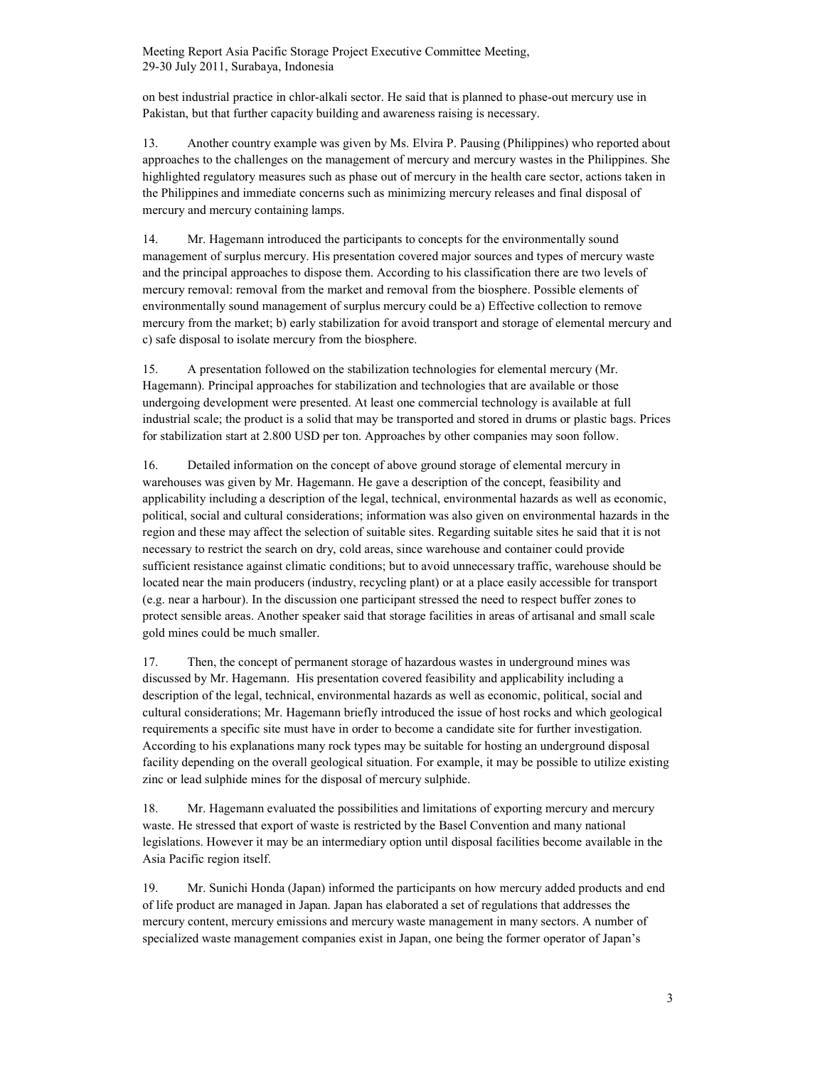on best industrial practice in chlor-alkali sector. He said that is planned to phase-out mercury use in Pakistan, but that further capacity building and awareness raising is necessary.

13. Another country example was given by Ms. Elvira P. Pausing (Philippines) who reported about approaches to the challenges on the management of mercury and mercury wastes in the Philippines. She highlighted regulatory measures such as phase out of mercury in the health care sector, actions taken in the Philippines and immediate concerns such as minimizing mercury releases and final disposal of mercury and mercury containing lamps.

14. Mr. Hagemann introduced the participants to concepts for the environmentally sound management of surplus mercury. His presentation covered major sources and types of mercury waste and the principal approaches to dispose them. According to his classification there are two levels of mercury removal: removal from the market and removal from the biosphere. Possible elements of environmentally sound management of surplus mercury could be a) Effective collection to remove mercury from the market; b) early stabilization for avoid transport and storage of elemental mercury and c) safe disposal to isolate mercury from the biosphere.

15. A presentation followed on the stabilization technologies for elemental mercury (Mr. Hagemann). Principal approaches for stabilization and technologies that are available or those undergoing development were presented. At least one commercial technology is available at full industrial scale; the product is a solid that may be transported and stored in drums or plastic bags. Prices for stabilization start at 2.800 USD per ton. Approaches by other companies may soon follow.

16. Detailed information on the concept of above ground storage of elemental mercury in warehouses was given by Mr. Hagemann. He gave a description of the concept, feasibility and applicability including a description of the legal, technical, environmental hazards as well as economic, political, social and cultural considerations; information was also given on environmental hazards in the region and these may affect the selection of suitable sites. Regarding suitable sites he said that it is not necessary to restrict the search on dry, cold areas, since warehouse and container could provide sufficient resistance against climatic conditions; but to avoid unnecessary traffic, warehouse should be located near the main producers (industry, recycling plant) or at a place easily accessible for transport (e.g. near a harbour). In the discussion one participant stressed the need to respect buffer zones to protect sensible areas. Another speaker said that storage facilities in areas of artisanal and small scale gold mines could be much smaller.

17. Then, the concept of permanent storage of hazardous wastes in underground mines was discussed by Mr. Hagemann. His presentation covered feasibility and applicability including a description of the legal, technical, environmental hazards as well as economic, political, social and cultural considerations; Mr. Hagemann briefly introduced the issue of host rocks and which geological requirements a specific site must have in order to become a candidate site for further investigation. According to his explanations many rock types may be suitable for hosting an underground disposal facility depending on the overall geological situation. For example, it may be possible to utilize existing zinc or lead sulphide mines for the disposal of mercury sulphide.

18. Mr. Hagemann evaluated the possibilities and limitations of exporting mercury and mercury waste. He stressed that export of waste is restricted by the Basel Convention and many national legislations. However it may be an intermediary option until disposal facilities become available in the Asia Pacific region itself.

19. Mr. Sunichi Honda (Japan) informed the participants on how mercury added products and end of life product are managed in Japan. Japan has elaborated a set of regulations that addresses the mercury content, mercury emissions and mercury waste management in many sectors. A number of specialized waste management companies exist in Japan, one being the former operator of Japan's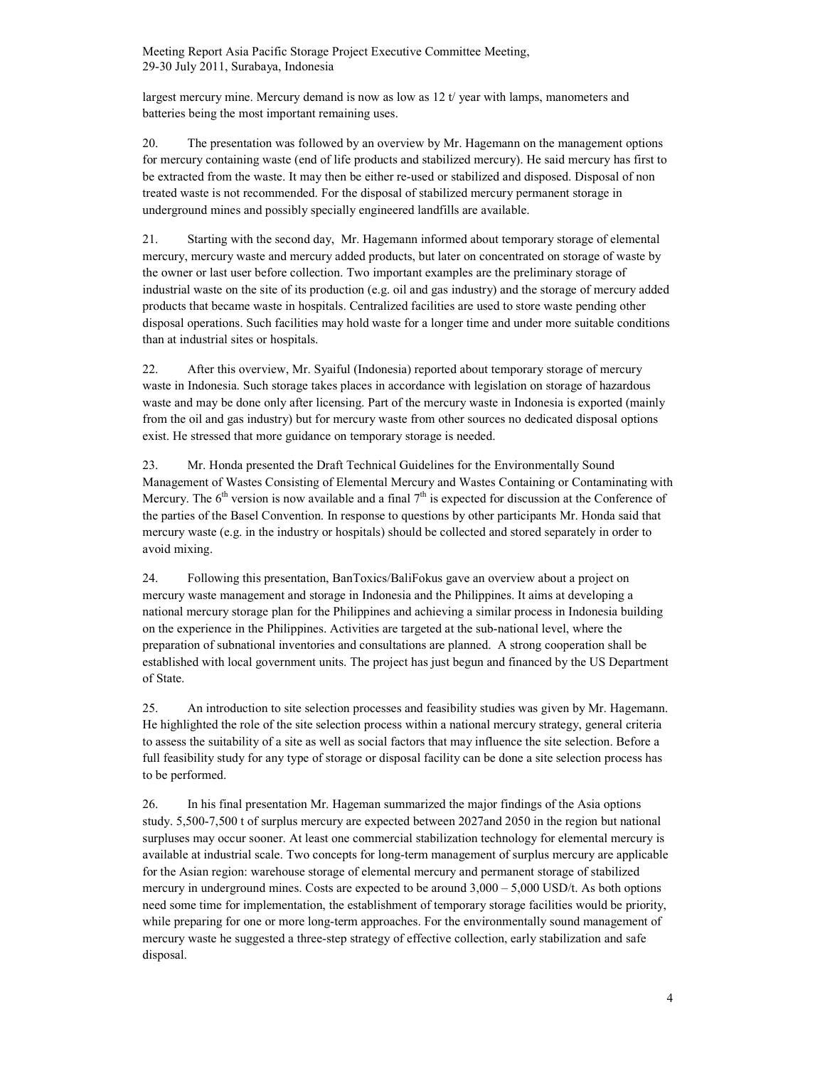largest mercury mine. Mercury demand is now as low as  $12 t$  year with lamps, manometers and batteries being the most important remaining uses.

20. The presentation was followed by an overview by Mr. Hagemann on the management options for mercury containing waste (end of life products and stabilized mercury). He said mercury has first to be extracted from the waste. It may then be either re-used or stabilized and disposed. Disposal of non treated waste is not recommended. For the disposal of stabilized mercury permanent storage in underground mines and possibly specially engineered landfills are available.

21. Starting with the second day, Mr. Hagemann informed about temporary storage of elemental mercury, mercury waste and mercury added products, but later on concentrated on storage of waste by the owner or last user before collection. Two important examples are the preliminary storage of industrial waste on the site of its production (e.g. oil and gas industry) and the storage of mercury added products that became waste in hospitals. Centralized facilities are used to store waste pending other disposal operations. Such facilities may hold waste for a longer time and under more suitable conditions than at industrial sites or hospitals.

22. After this overview, Mr. Syaiful (Indonesia) reported about temporary storage of mercury waste in Indonesia. Such storage takes places in accordance with legislation on storage of hazardous waste and may be done only after licensing. Part of the mercury waste in Indonesia is exported (mainly from the oil and gas industry) but for mercury waste from other sources no dedicated disposal options exist. He stressed that more guidance on temporary storage is needed.

23. Mr. Honda presented the Draft Technical Guidelines for the Environmentally Sound Management of Wastes Consisting of Elemental Mercury and Wastes Containing or Contaminating with Mercury. The 6<sup>th</sup> version is now available and a final  $7<sup>th</sup>$  is expected for discussion at the Conference of the parties of the Basel Convention. In response to questions by other participants Mr. Honda said that mercury waste (e.g. in the industry or hospitals) should be collected and stored separately in order to avoid mixing.

24. Following this presentation, BanToxics/BaliFokus gave an overview about a project on mercury waste management and storage in Indonesia and the Philippines. It aims at developing a national mercury storage plan for the Philippines and achieving a similar process in Indonesia building on the experience in the Philippines. Activities are targeted at the sub-national level, where the preparation of subnational inventories and consultations are planned. A strong cooperation shall be established with local government units. The project has just begun and financed by the US Department of State.

25. An introduction to site selection processes and feasibility studies was given by Mr. Hagemann. He highlighted the role of the site selection process within a national mercury strategy, general criteria to assess the suitability of a site as well as social factors that may influence the site selection. Before a full feasibility study for any type of storage or disposal facility can be done a site selection process has to be performed.

26. In his final presentation Mr. Hageman summarized the major findings of the Asia options study. 5,500-7,500 t of surplus mercury are expected between 2027and 2050 in the region but national surpluses may occur sooner. At least one commercial stabilization technology for elemental mercury is available at industrial scale. Two concepts for long-term management of surplus mercury are applicable for the Asian region: warehouse storage of elemental mercury and permanent storage of stabilized mercury in underground mines. Costs are expected to be around 3,000 – 5,000 USD/t. As both options need some time for implementation, the establishment of temporary storage facilities would be priority, while preparing for one or more long-term approaches. For the environmentally sound management of mercury waste he suggested a three-step strategy of effective collection, early stabilization and safe disposal.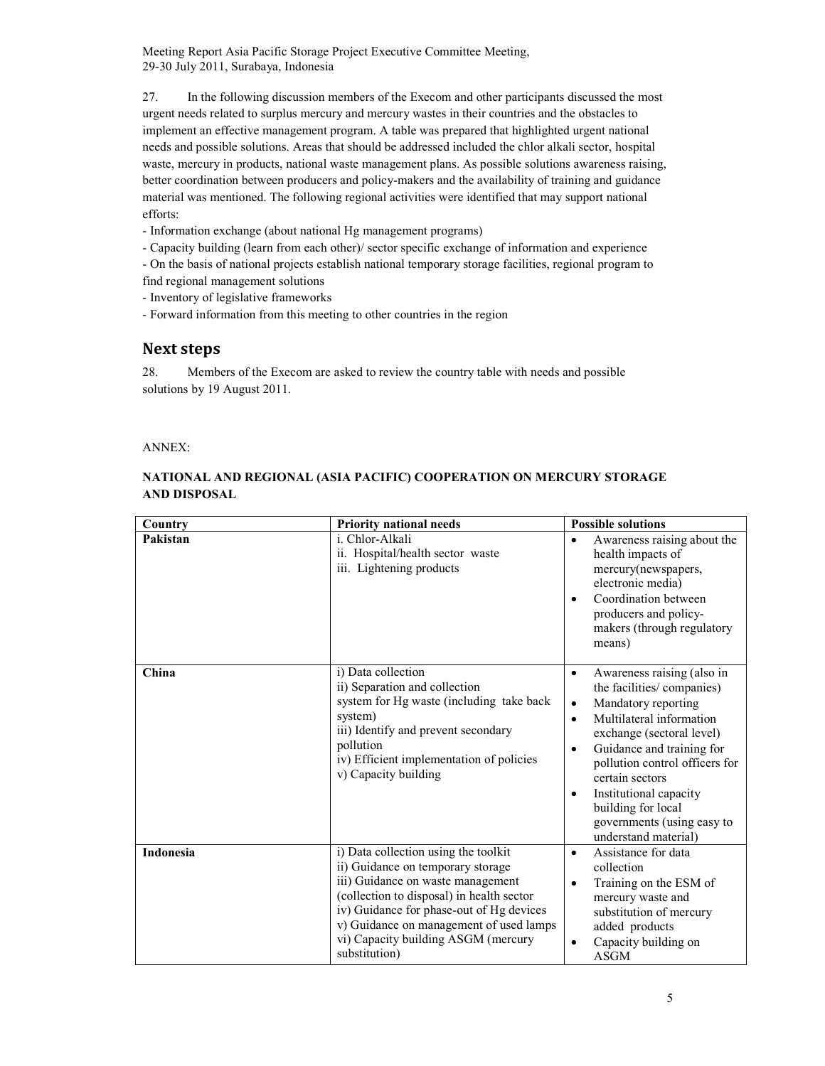27. In the following discussion members of the Execom and other participants discussed the most urgent needs related to surplus mercury and mercury wastes in their countries and the obstacles to implement an effective management program. A table was prepared that highlighted urgent national needs and possible solutions. Areas that should be addressed included the chlor alkali sector, hospital waste, mercury in products, national waste management plans. As possible solutions awareness raising, better coordination between producers and policy-makers and the availability of training and guidance material was mentioned. The following regional activities were identified that may support national efforts:

- Information exchange (about national Hg management programs)

- Capacity building (learn from each other)/ sector specific exchange of information and experience

- On the basis of national projects establish national temporary storage facilities, regional program to find regional management solutions

- Inventory of legislative frameworks

- Forward information from this meeting to other countries in the region

### Next steps

28. Members of the Execom are asked to review the country table with needs and possible solutions by 19 August 2011.

#### ANNEX:

### NATIONAL AND REGIONAL (ASIA PACIFIC) COOPERATION ON MERCURY STORAGE AND DISPOSAL

| Country          | <b>Priority national needs</b>                                                                                                                                                                                                                                                                             | <b>Possible solutions</b>                                                                                                                                                                                                                                                                                                                                                                |
|------------------|------------------------------------------------------------------------------------------------------------------------------------------------------------------------------------------------------------------------------------------------------------------------------------------------------------|------------------------------------------------------------------------------------------------------------------------------------------------------------------------------------------------------------------------------------------------------------------------------------------------------------------------------------------------------------------------------------------|
| Pakistan         | i. Chlor-Alkali<br>ii. Hospital/health sector waste<br>iii. Lightening products                                                                                                                                                                                                                            | Awareness raising about the<br>health impacts of<br>mercury(newspapers,<br>electronic media)<br>Coordination between<br>$\bullet$<br>producers and policy-<br>makers (through regulatory<br>means)                                                                                                                                                                                       |
| China            | i) Data collection<br>ii) Separation and collection<br>system for Hg waste (including take back<br>system)<br>iii) Identify and prevent secondary<br>pollution<br>iv) Efficient implementation of policies<br>v) Capacity building                                                                         | Awareness raising (also in<br>$\bullet$<br>the facilities/companies)<br>Mandatory reporting<br>٠<br>Multilateral information<br>$\bullet$<br>exchange (sectoral level)<br>Guidance and training for<br>$\bullet$<br>pollution control officers for<br>certain sectors<br>Institutional capacity<br>$\bullet$<br>building for local<br>governments (using easy to<br>understand material) |
| <b>Indonesia</b> | i) Data collection using the toolkit<br>ii) Guidance on temporary storage<br>iii) Guidance on waste management<br>(collection to disposal) in health sector<br>iv) Guidance for phase-out of Hg devices<br>v) Guidance on management of used lamps<br>vi) Capacity building ASGM (mercury<br>substitution) | Assistance for data<br>$\bullet$<br>collection<br>Training on the ESM of<br>$\bullet$<br>mercury waste and<br>substitution of mercury<br>added products<br>Capacity building on<br><b>ASGM</b>                                                                                                                                                                                           |